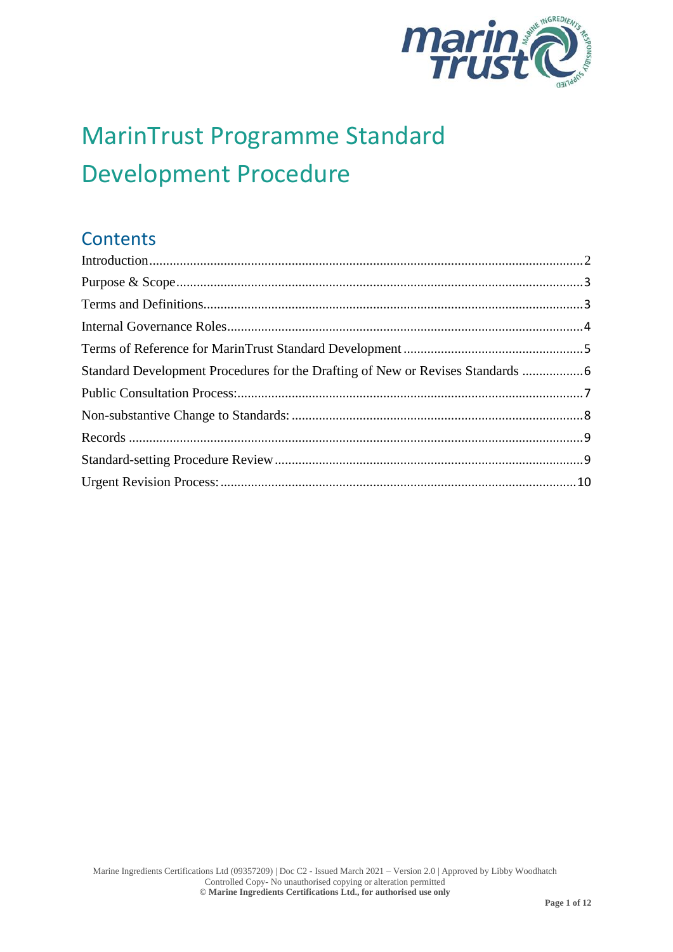

# MarinTrust Programme Standard Development Procedure

# **Contents**

| Standard Development Procedures for the Drafting of New or Revises Standards  6 |  |
|---------------------------------------------------------------------------------|--|
|                                                                                 |  |
|                                                                                 |  |
|                                                                                 |  |
|                                                                                 |  |
|                                                                                 |  |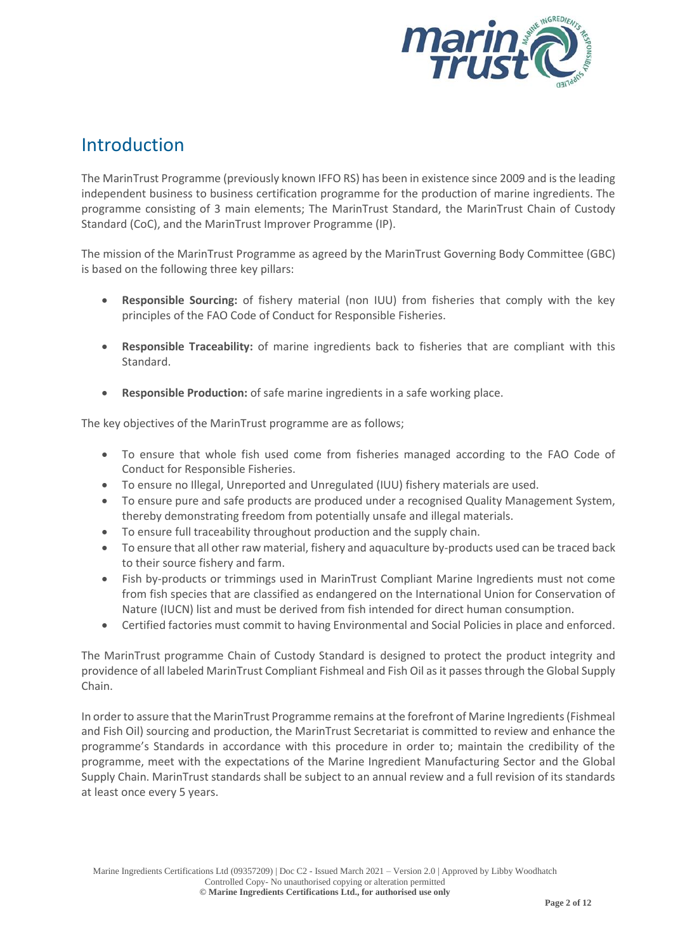

### <span id="page-1-0"></span>Introduction

The MarinTrust Programme (previously known IFFO RS) has been in existence since 2009 and is the leading independent business to business certification programme for the production of marine ingredients. The programme consisting of 3 main elements; The MarinTrust Standard, the MarinTrust Chain of Custody Standard (CoC), and the MarinTrust Improver Programme (IP).

The mission of the MarinTrust Programme as agreed by the MarinTrust Governing Body Committee (GBC) is based on the following three key pillars:

- **Responsible Sourcing:** of fishery material (non IUU) from fisheries that comply with the key principles of the FAO Code of Conduct for Responsible Fisheries.
- **Responsible Traceability:** of marine ingredients back to fisheries that are compliant with this Standard.
- **Responsible Production:** of safe marine ingredients in a safe working place.

The key objectives of the MarinTrust programme are as follows;

- To ensure that whole fish used come from fisheries managed according to the FAO Code of Conduct for Responsible Fisheries.
- To ensure no Illegal, Unreported and Unregulated (IUU) fishery materials are used.
- To ensure pure and safe products are produced under a recognised Quality Management System, thereby demonstrating freedom from potentially unsafe and illegal materials.
- To ensure full traceability throughout production and the supply chain.
- To ensure that all other raw material, fishery and aquaculture by-products used can be traced back to their source fishery and farm.
- Fish by-products or trimmings used in MarinTrust Compliant Marine Ingredients must not come from fish species that are classified as endangered on the International Union for Conservation of Nature (IUCN) list and must be derived from fish intended for direct human consumption.
- Certified factories must commit to having Environmental and Social Policies in place and enforced.

The MarinTrust programme Chain of Custody Standard is designed to protect the product integrity and providence of all labeled MarinTrust Compliant Fishmeal and Fish Oil as it passes through the Global Supply Chain.

In order to assure that the MarinTrust Programme remains at the forefront of Marine Ingredients (Fishmeal and Fish Oil) sourcing and production, the MarinTrust Secretariat is committed to review and enhance the programme's Standards in accordance with this procedure in order to; maintain the credibility of the programme, meet with the expectations of the Marine Ingredient Manufacturing Sector and the Global Supply Chain. MarinTrust standards shall be subject to an annual review and a full revision of its standards at least once every 5 years.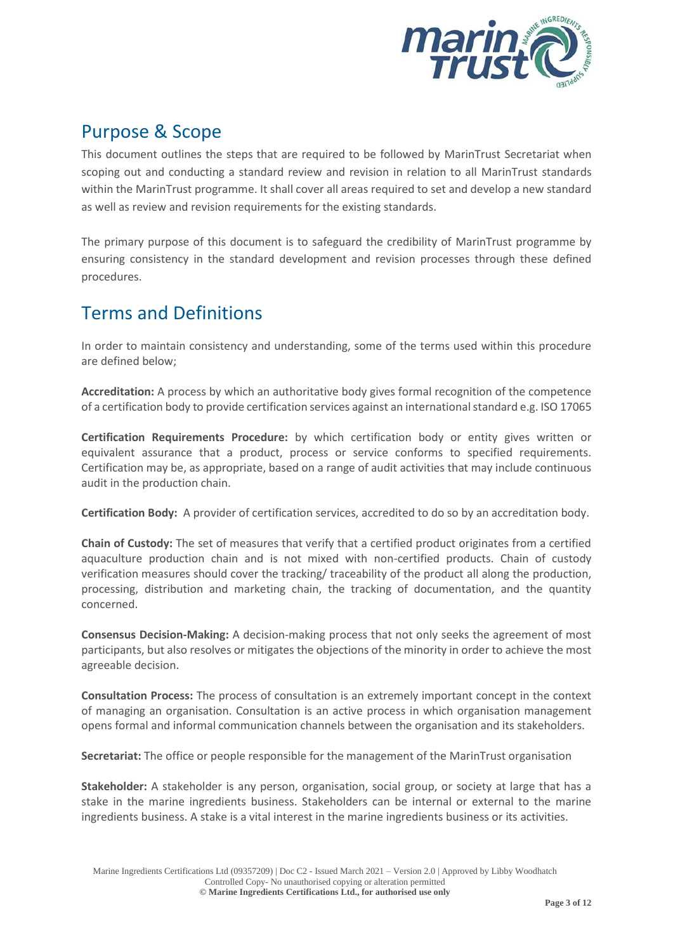

### <span id="page-2-0"></span>Purpose & Scope

This document outlines the steps that are required to be followed by MarinTrust Secretariat when scoping out and conducting a standard review and revision in relation to all MarinTrust standards within the MarinTrust programme. It shall cover all areas required to set and develop a new standard as well as review and revision requirements for the existing standards.

The primary purpose of this document is to safeguard the credibility of MarinTrust programme by ensuring consistency in the standard development and revision processes through these defined procedures.

### <span id="page-2-1"></span>Terms and Definitions

In order to maintain consistency and understanding, some of the terms used within this procedure are defined below;

**Accreditation:** A process by which an authoritative body gives formal recognition of the competence of a certification body to provide certification services against an international standard e.g. ISO 17065

**Certification Requirements Procedure:** by which certification body or entity gives written or equivalent assurance that a product, process or service conforms to specified requirements. Certification may be, as appropriate, based on a range of audit activities that may include continuous audit in the production chain.

**Certification Body:** A provider of certification services, accredited to do so by an accreditation body.

**Chain of Custody:** The set of measures that verify that a certified product originates from a certified aquaculture production chain and is not mixed with non-certified products. Chain of custody verification measures should cover the tracking/ traceability of the product all along the production, processing, distribution and marketing chain, the tracking of documentation, and the quantity concerned.

**Consensus Decision-Making:** A decision-making process that not only seeks the agreement of most participants, but also resolves or mitigates the objections of the minority in order to achieve the most agreeable decision.

**Consultation Process:** The process of consultation is an extremely important concept in the context of managing an organisation. Consultation is an active process in which organisation management opens formal and informal communication channels between the organisation and its stakeholders.

**Secretariat:** The office or people responsible for the management of the MarinTrust organisation

**Stakeholder:** A stakeholder is any person, organisation, social group, or society at large that has a stake in the marine ingredients business. Stakeholders can be internal or external to the marine ingredients business. A stake is a vital interest in the marine ingredients business or its activities.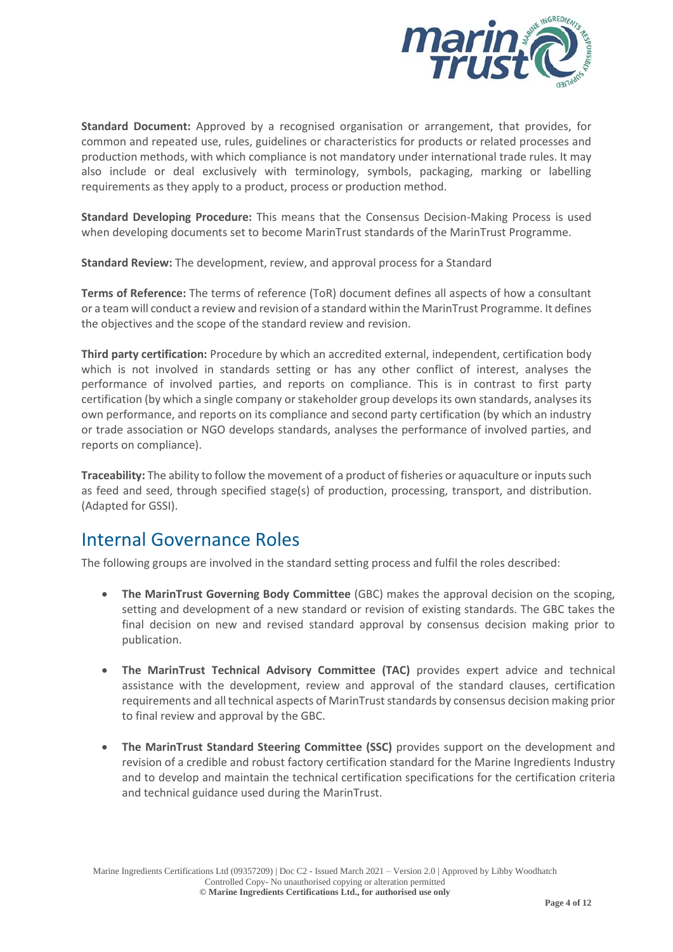

**Standard Document:** Approved by a recognised organisation or arrangement, that provides, for common and repeated use, rules, guidelines or characteristics for products or related processes and production methods, with which compliance is not mandatory under international trade rules. It may also include or deal exclusively with terminology, symbols, packaging, marking or labelling requirements as they apply to a product, process or production method.

**Standard Developing Procedure:** This means that the Consensus Decision-Making Process is used when developing documents set to become MarinTrust standards of the MarinTrust Programme.

**Standard Review:** The development, review, and approval process for a Standard

**Terms of Reference:** The terms of reference (ToR) document defines all aspects of how a consultant or a team will conduct a review and revision of a standard within the MarinTrust Programme. It defines the objectives and the scope of the standard review and revision.

**Third party certification:** Procedure by which an accredited external, independent, certification body which is not involved in standards setting or has any other conflict of interest, analyses the performance of involved parties, and reports on compliance. This is in contrast to first party certification (by which a single company or stakeholder group develops its own standards, analyses its own performance, and reports on its compliance and second party certification (by which an industry or trade association or NGO develops standards, analyses the performance of involved parties, and reports on compliance).

**Traceability:** The ability to follow the movement of a product of fisheries or aquaculture or inputs such as feed and seed, through specified stage(s) of production, processing, transport, and distribution. (Adapted for GSSI).

#### <span id="page-3-0"></span>Internal Governance Roles

The following groups are involved in the standard setting process and fulfil the roles described:

- **The MarinTrust Governing Body Committee** (GBC) makes the approval decision on the scoping, setting and development of a new standard or revision of existing standards. The GBC takes the final decision on new and revised standard approval by consensus decision making prior to publication.
- **The MarinTrust Technical Advisory Committee (TAC)** provides expert advice and technical assistance with the development, review and approval of the standard clauses, certification requirements and all technical aspects of MarinTruststandards by consensus decision making prior to final review and approval by the GBC.
- **The MarinTrust Standard Steering Committee (SSC)** provides support on the development and revision of a credible and robust factory certification standard for the Marine Ingredients Industry and to develop and maintain the technical certification specifications for the certification criteria and technical guidance used during the MarinTrust.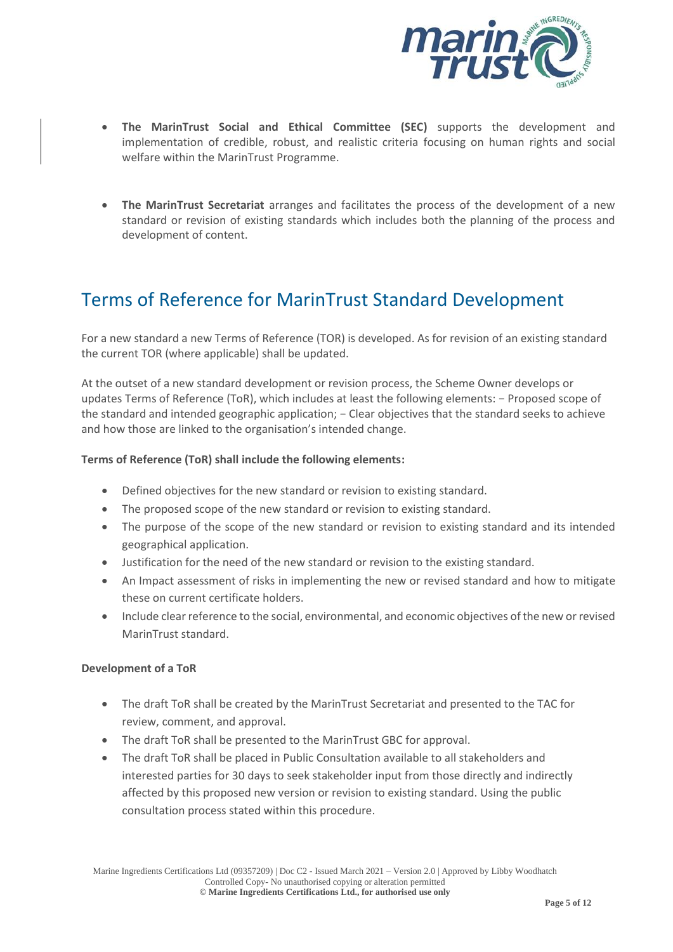

- **The MarinTrust Social and Ethical Committee (SEC)** supports the development and implementation of credible, robust, and realistic criteria focusing on human rights and social welfare within the MarinTrust Programme.
- **The MarinTrust Secretariat** arranges and facilitates the process of the development of a new standard or revision of existing standards which includes both the planning of the process and development of content.

# <span id="page-4-0"></span>Terms of Reference for MarinTrust Standard Development

For a new standard a new Terms of Reference (TOR) is developed. As for revision of an existing standard the current TOR (where applicable) shall be updated.

At the outset of a new standard development or revision process, the Scheme Owner develops or updates Terms of Reference (ToR), which includes at least the following elements: − Proposed scope of the standard and intended geographic application; − Clear objectives that the standard seeks to achieve and how those are linked to the organisation's intended change.

#### **Terms of Reference (ToR) shall include the following elements:**

- Defined objectives for the new standard or revision to existing standard.
- The proposed scope of the new standard or revision to existing standard.
- The purpose of the scope of the new standard or revision to existing standard and its intended geographical application.
- Justification for the need of the new standard or revision to the existing standard.
- An Impact assessment of risks in implementing the new or revised standard and how to mitigate these on current certificate holders.
- Include clear reference to the social, environmental, and economic objectives of the new or revised MarinTrust standard.

#### **Development of a ToR**

- The draft ToR shall be created by the MarinTrust Secretariat and presented to the TAC for review, comment, and approval.
- The draft ToR shall be presented to the MarinTrust GBC for approval.
- The draft ToR shall be placed in Public Consultation available to all stakeholders and interested parties for 30 days to seek stakeholder input from those directly and indirectly affected by this proposed new version or revision to existing standard. Using the public consultation process stated within this procedure.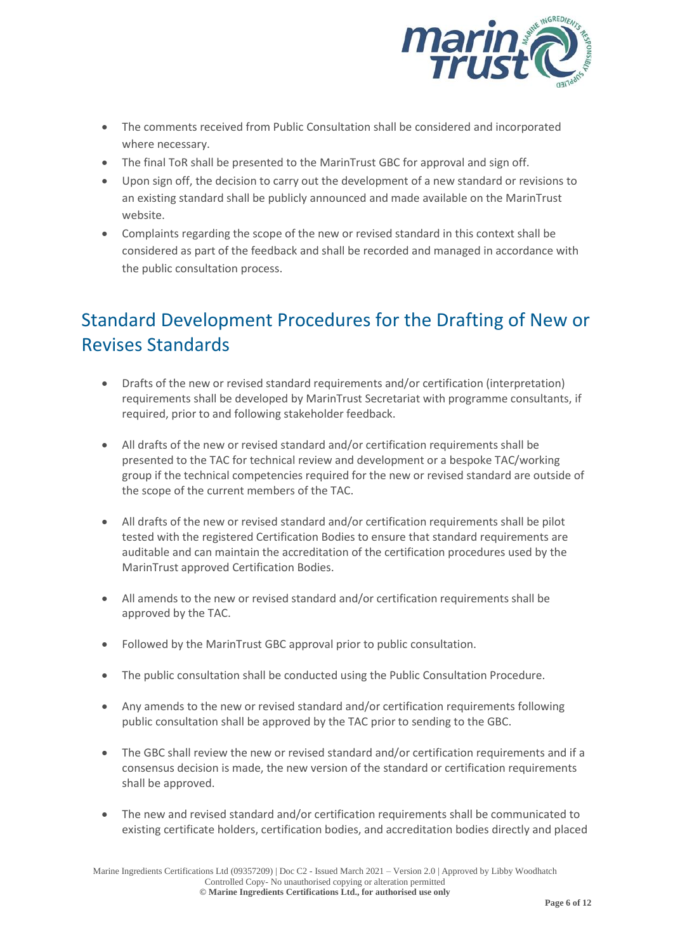

- The comments received from Public Consultation shall be considered and incorporated where necessary.
- The final ToR shall be presented to the MarinTrust GBC for approval and sign off.
- Upon sign off, the decision to carry out the development of a new standard or revisions to an existing standard shall be publicly announced and made available on the MarinTrust website.
- Complaints regarding the scope of the new or revised standard in this context shall be considered as part of the feedback and shall be recorded and managed in accordance with the public consultation process.

# <span id="page-5-0"></span>Standard Development Procedures for the Drafting of New or Revises Standards

- Drafts of the new or revised standard requirements and/or certification (interpretation) requirements shall be developed by MarinTrust Secretariat with programme consultants, if required, prior to and following stakeholder feedback.
- All drafts of the new or revised standard and/or certification requirements shall be presented to the TAC for technical review and development or a bespoke TAC/working group if the technical competencies required for the new or revised standard are outside of the scope of the current members of the TAC.
- All drafts of the new or revised standard and/or certification requirements shall be pilot tested with the registered Certification Bodies to ensure that standard requirements are auditable and can maintain the accreditation of the certification procedures used by the MarinTrust approved Certification Bodies.
- All amends to the new or revised standard and/or certification requirements shall be approved by the TAC.
- Followed by the MarinTrust GBC approval prior to public consultation.
- The public consultation shall be conducted using the Public Consultation Procedure.
- Any amends to the new or revised standard and/or certification requirements following public consultation shall be approved by the TAC prior to sending to the GBC.
- The GBC shall review the new or revised standard and/or certification requirements and if a consensus decision is made, the new version of the standard or certification requirements shall be approved.
- The new and revised standard and/or certification requirements shall be communicated to existing certificate holders, certification bodies, and accreditation bodies directly and placed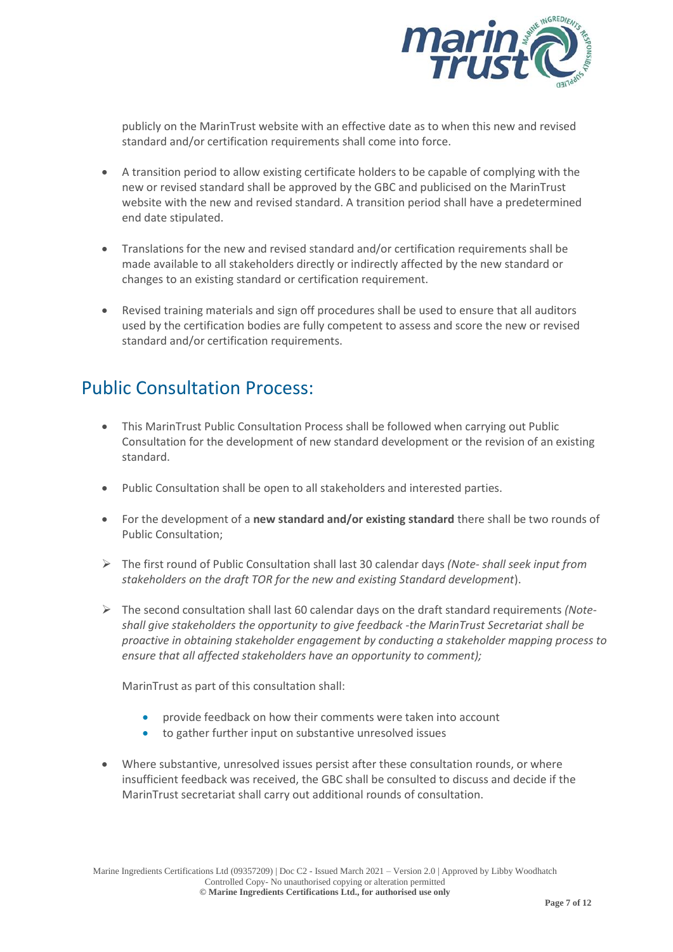

publicly on the MarinTrust website with an effective date as to when this new and revised standard and/or certification requirements shall come into force.

- A transition period to allow existing certificate holders to be capable of complying with the new or revised standard shall be approved by the GBC and publicised on the MarinTrust website with the new and revised standard. A transition period shall have a predetermined end date stipulated.
- Translations for the new and revised standard and/or certification requirements shall be made available to all stakeholders directly or indirectly affected by the new standard or changes to an existing standard or certification requirement.
- Revised training materials and sign off procedures shall be used to ensure that all auditors used by the certification bodies are fully competent to assess and score the new or revised standard and/or certification requirements.

### <span id="page-6-0"></span>Public Consultation Process:

- This MarinTrust Public Consultation Process shall be followed when carrying out Public Consultation for the development of new standard development or the revision of an existing standard.
- Public Consultation shall be open to all stakeholders and interested parties.
- For the development of a **new standard and/or existing standard** there shall be two rounds of Public Consultation;
- ➢ The first round of Public Consultation shall last 30 calendar days *(Note- shall seek input from stakeholders on the draft TOR for the new and existing Standard development*).
- ➢ The second consultation shall last 60 calendar days on the draft standard requirements *(Noteshall give stakeholders the opportunity to give feedback -the MarinTrust Secretariat shall be proactive in obtaining stakeholder engagement by conducting a stakeholder mapping process to ensure that all affected stakeholders have an opportunity to comment);*

MarinTrust as part of this consultation shall:

- provide feedback on how their comments were taken into account
- to gather further input on substantive unresolved issues
- Where substantive, unresolved issues persist after these consultation rounds, or where insufficient feedback was received, the GBC shall be consulted to discuss and decide if the MarinTrust secretariat shall carry out additional rounds of consultation.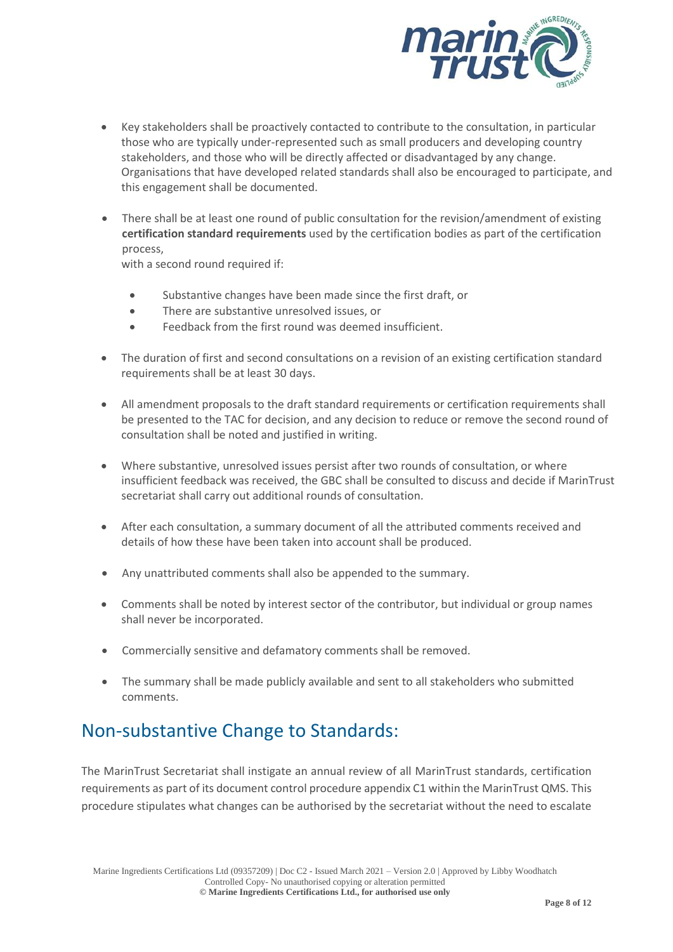

- Key stakeholders shall be proactively contacted to contribute to the consultation, in particular those who are typically under-represented such as small producers and developing country stakeholders, and those who will be directly affected or disadvantaged by any change. Organisations that have developed related standards shall also be encouraged to participate, and this engagement shall be documented.
- There shall be at least one round of public consultation for the revision/amendment of existing **certification standard requirements** used by the certification bodies as part of the certification process,

with a second round required if:

- Substantive changes have been made since the first draft, or
- There are substantive unresolved issues, or
- Feedback from the first round was deemed insufficient.
- The duration of first and second consultations on a revision of an existing certification standard requirements shall be at least 30 days.
- All amendment proposals to the draft standard requirements or certification requirements shall be presented to the TAC for decision, and any decision to reduce or remove the second round of consultation shall be noted and justified in writing.
- Where substantive, unresolved issues persist after two rounds of consultation, or where insufficient feedback was received, the GBC shall be consulted to discuss and decide if MarinTrust secretariat shall carry out additional rounds of consultation.
- After each consultation, a summary document of all the attributed comments received and details of how these have been taken into account shall be produced.
- Any unattributed comments shall also be appended to the summary.
- Comments shall be noted by interest sector of the contributor, but individual or group names shall never be incorporated.
- Commercially sensitive and defamatory comments shall be removed.
- The summary shall be made publicly available and sent to all stakeholders who submitted comments.

### <span id="page-7-0"></span>Non-substantive Change to Standards:

The MarinTrust Secretariat shall instigate an annual review of all MarinTrust standards, certification requirements as part of its document control procedure appendix C1 within the MarinTrust QMS. This procedure stipulates what changes can be authorised by the secretariat without the need to escalate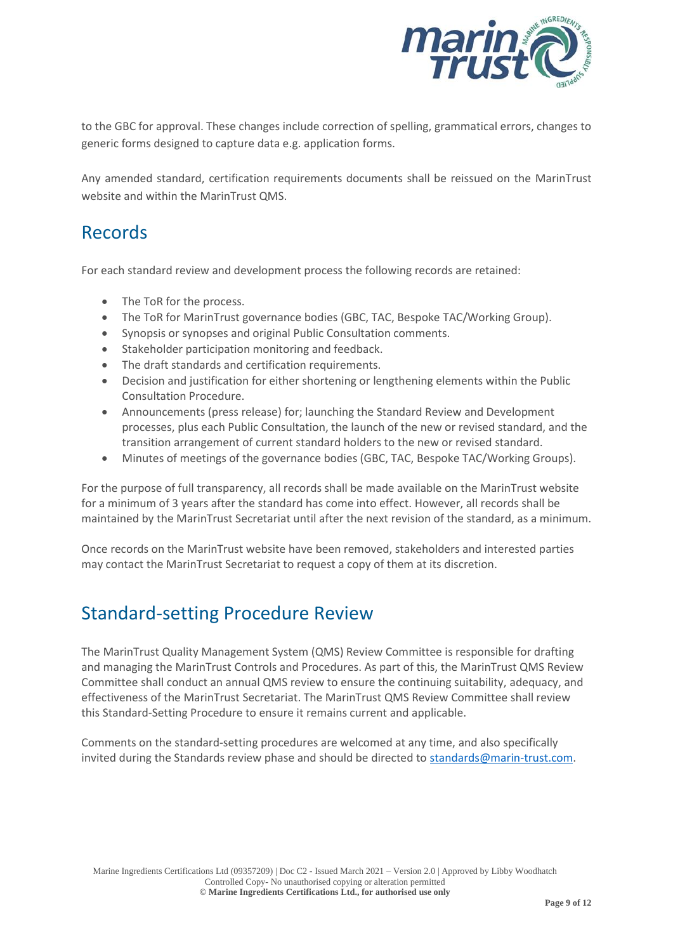

to the GBC for approval. These changes include correction of spelling, grammatical errors, changes to generic forms designed to capture data e.g. application forms.

Any amended standard, certification requirements documents shall be reissued on the MarinTrust website and within the MarinTrust QMS.

#### <span id="page-8-0"></span>Records

For each standard review and development process the following records are retained:

- The ToR for the process.
- The ToR for MarinTrust governance bodies (GBC, TAC, Bespoke TAC/Working Group).
- Synopsis or synopses and original Public Consultation comments.
- Stakeholder participation monitoring and feedback.
- The draft standards and certification requirements.
- Decision and justification for either shortening or lengthening elements within the Public Consultation Procedure.
- Announcements (press release) for; launching the Standard Review and Development processes, plus each Public Consultation, the launch of the new or revised standard, and the transition arrangement of current standard holders to the new or revised standard.
- Minutes of meetings of the governance bodies (GBC, TAC, Bespoke TAC/Working Groups).

For the purpose of full transparency, all records shall be made available on the MarinTrust website for a minimum of 3 years after the standard has come into effect. However, all records shall be maintained by the MarinTrust Secretariat until after the next revision of the standard, as a minimum.

Once records on the MarinTrust website have been removed, stakeholders and interested parties may contact the MarinTrust Secretariat to request a copy of them at its discretion.

### <span id="page-8-1"></span>Standard-setting Procedure Review

The MarinTrust Quality Management System (QMS) Review Committee is responsible for drafting and managing the MarinTrust Controls and Procedures. As part of this, the MarinTrust QMS Review Committee shall conduct an annual QMS review to ensure the continuing suitability, adequacy, and effectiveness of the MarinTrust Secretariat. The MarinTrust QMS Review Committee shall review this Standard-Setting Procedure to ensure it remains current and applicable.

Comments on the standard-setting procedures are welcomed at any time, and also specifically invited during the Standards review phase and should be directed to [standards@marin-trust.com.](mailto:standards@marin-trust.com)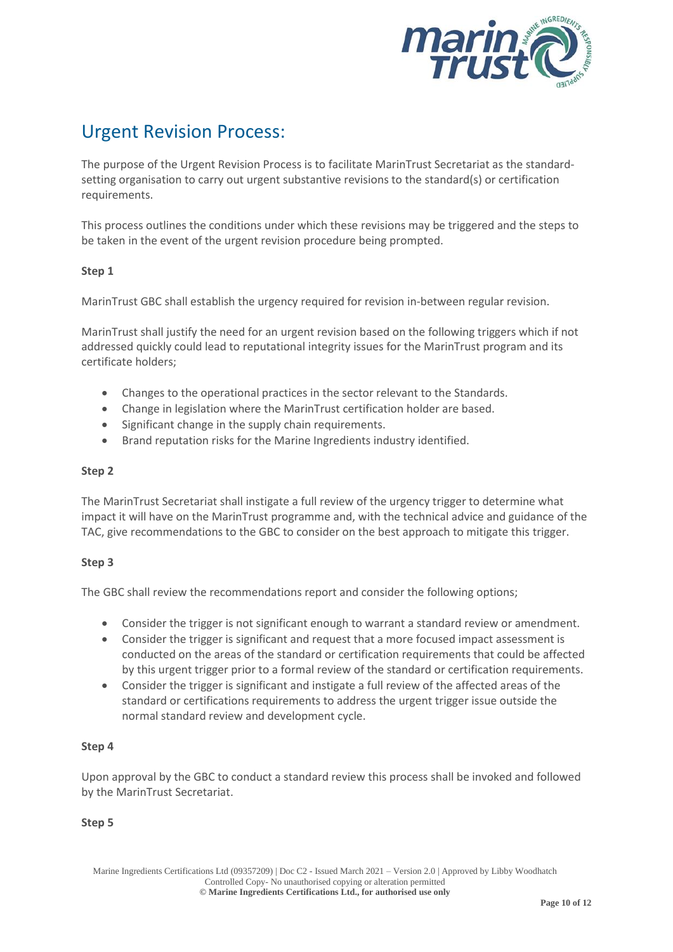

# <span id="page-9-0"></span>Urgent Revision Process:

The purpose of the Urgent Revision Process is to facilitate MarinTrust Secretariat as the standardsetting organisation to carry out urgent substantive revisions to the standard(s) or certification requirements.

This process outlines the conditions under which these revisions may be triggered and the steps to be taken in the event of the urgent revision procedure being prompted.

#### **Step 1**

MarinTrust GBC shall establish the urgency required for revision in-between regular revision.

MarinTrust shall justify the need for an urgent revision based on the following triggers which if not addressed quickly could lead to reputational integrity issues for the MarinTrust program and its certificate holders;

- Changes to the operational practices in the sector relevant to the Standards.
- Change in legislation where the MarinTrust certification holder are based.
- Significant change in the supply chain requirements.
- Brand reputation risks for the Marine Ingredients industry identified.

#### **Step 2**

The MarinTrust Secretariat shall instigate a full review of the urgency trigger to determine what impact it will have on the MarinTrust programme and, with the technical advice and guidance of the TAC, give recommendations to the GBC to consider on the best approach to mitigate this trigger.

#### **Step 3**

The GBC shall review the recommendations report and consider the following options;

- Consider the trigger is not significant enough to warrant a standard review or amendment.
- Consider the trigger is significant and request that a more focused impact assessment is conducted on the areas of the standard or certification requirements that could be affected by this urgent trigger prior to a formal review of the standard or certification requirements.
- Consider the trigger is significant and instigate a full review of the affected areas of the standard or certifications requirements to address the urgent trigger issue outside the normal standard review and development cycle.

#### **Step 4**

Upon approval by the GBC to conduct a standard review this process shall be invoked and followed by the MarinTrust Secretariat.

#### **Step 5**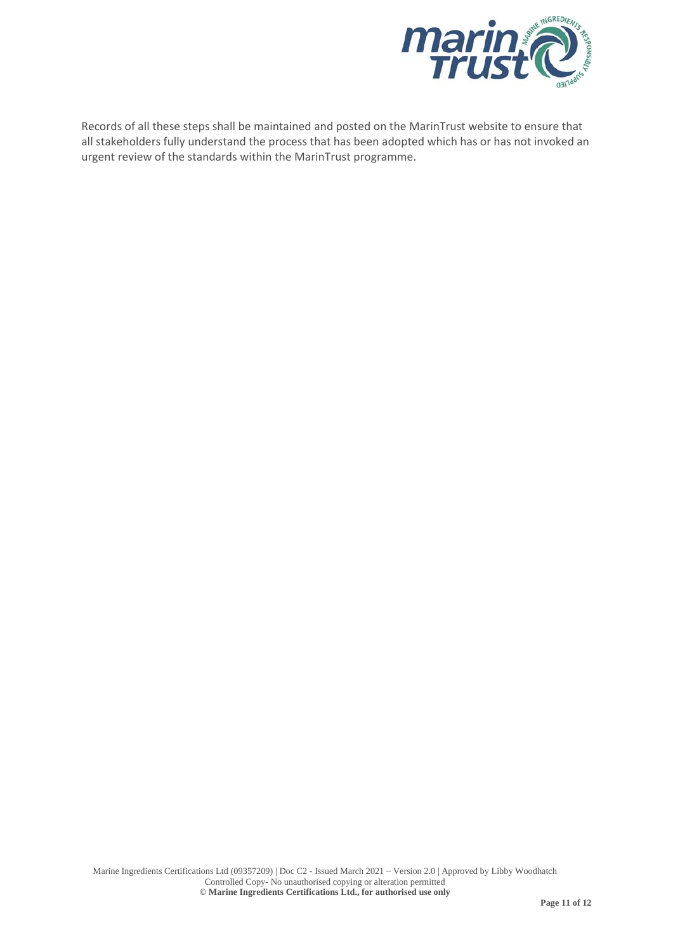

Records of all these steps shall be maintained and posted on the MarinTrust website to ensure that all stakeholders fully understand the process that has been adopted which has or has not invoked an urgent review of the standards within the MarinTrust programme.